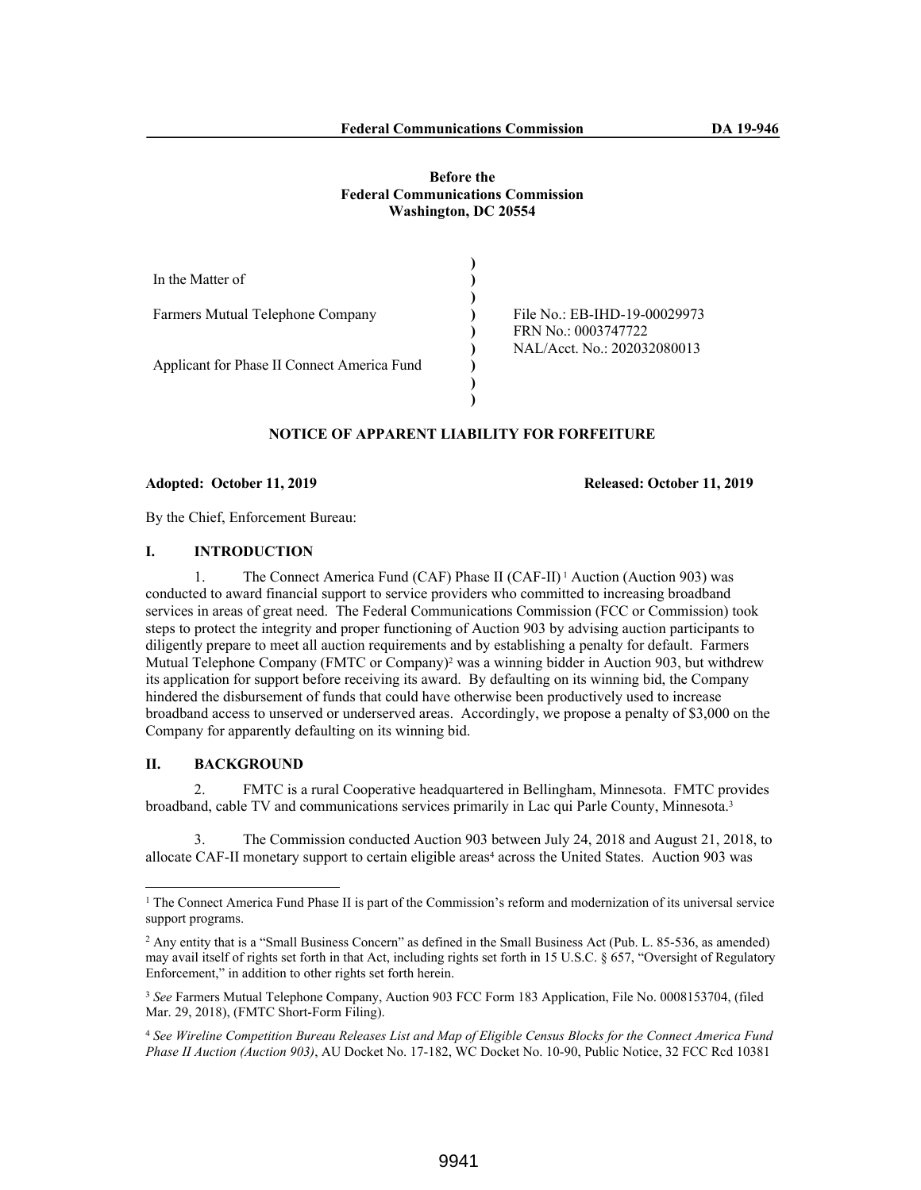#### **Before the Federal Communications Commission Washington, DC 20554**

| In the Matter of                            |                              |
|---------------------------------------------|------------------------------|
|                                             |                              |
| Farmers Mutual Telephone Company            | File No.: EB-IHD-19-00029973 |
|                                             | FRN No.: 0003747722          |
|                                             | NAL/Acct. No.: 202032080013  |
| Applicant for Phase II Connect America Fund |                              |
|                                             |                              |
|                                             |                              |

# **NOTICE OF APPARENT LIABILITY FOR FORFEITURE**

#### **Adopted: October 11, 2019 Released: October 11, 2019**

By the Chief, Enforcement Bureau:

### **I. INTRODUCTION**

1. The Connect America Fund (CAF) Phase II (CAF-II) 1 Auction (Auction 903) was conducted to award financial support to service providers who committed to increasing broadband services in areas of great need. The Federal Communications Commission (FCC or Commission) took steps to protect the integrity and proper functioning of Auction 903 by advising auction participants to diligently prepare to meet all auction requirements and by establishing a penalty for default. Farmers Mutual Telephone Company (FMTC or Company)<sup>2</sup> was a winning bidder in Auction 903, but withdrew its application for support before receiving its award. By defaulting on its winning bid, the Company hindered the disbursement of funds that could have otherwise been productively used to increase broadband access to unserved or underserved areas. Accordingly, we propose a penalty of \$3,000 on the Company for apparently defaulting on its winning bid.

#### **II. BACKGROUND**

2. FMTC is a rural Cooperative headquartered in Bellingham, Minnesota. FMTC provides broadband, cable TV and communications services primarily in Lac qui Parle County, Minnesota.<sup>3</sup>

3. The Commission conducted Auction 903 between July 24, 2018 and August 21, 2018, to allocate CAF-II monetary support to certain eligible areas<sup>4</sup> across the United States. Auction 903 was

<sup>&</sup>lt;sup>1</sup> The Connect America Fund Phase II is part of the Commission's reform and modernization of its universal service support programs.

<sup>2</sup> Any entity that is a "Small Business Concern" as defined in the Small Business Act (Pub. L. 85-536, as amended) may avail itself of rights set forth in that Act, including rights set forth in 15 U.S.C. § 657, "Oversight of Regulatory Enforcement," in addition to other rights set forth herein.

<sup>3</sup> *See* Farmers Mutual Telephone Company, Auction 903 FCC Form 183 Application, File No. 0008153704, (filed Mar. 29, 2018), (FMTC Short-Form Filing).

<sup>4</sup> *See Wireline Competition Bureau Releases List and Map of Eligible Census Blocks for the Connect America Fund Phase II Auction (Auction 903)*, AU Docket No. 17-182, WC Docket No. 10-90, Public Notice, 32 FCC Rcd 10381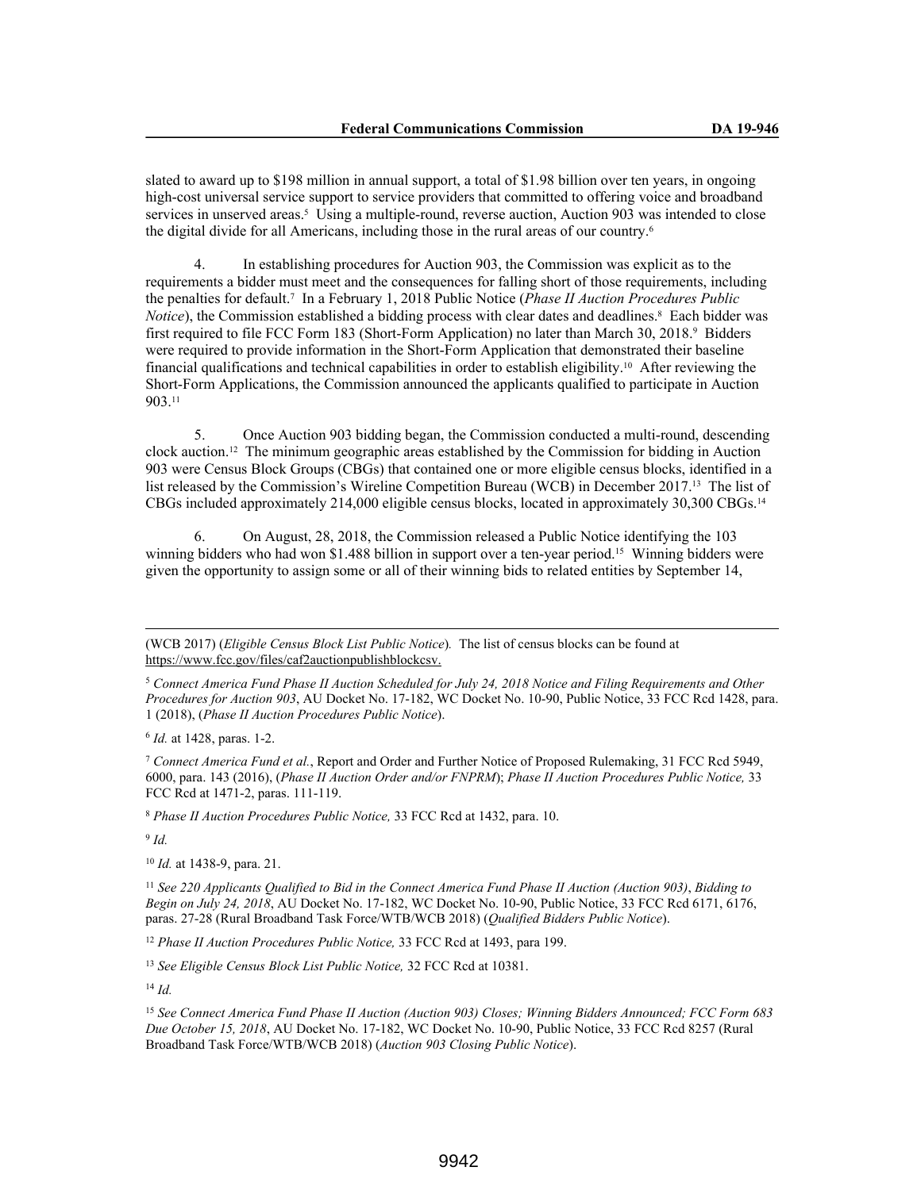slated to award up to \$198 million in annual support, a total of \$1.98 billion over ten years, in ongoing high-cost universal service support to service providers that committed to offering voice and broadband services in unserved areas.<sup>5</sup> Using a multiple-round, reverse auction, Auction 903 was intended to close the digital divide for all Americans, including those in the rural areas of our country.<sup>6</sup>

4. In establishing procedures for Auction 903, the Commission was explicit as to the requirements a bidder must meet and the consequences for falling short of those requirements, including the penalties for default.<sup>7</sup> In a February 1, 2018 Public Notice (*Phase II Auction Procedures Public Notice*), the Commission established a bidding process with clear dates and deadlines.<sup>8</sup> Each bidder was first required to file FCC Form 183 (Short-Form Application) no later than March 30, 2018.<sup>9</sup> Bidders were required to provide information in the Short-Form Application that demonstrated their baseline financial qualifications and technical capabilities in order to establish eligibility.10 After reviewing the Short-Form Applications, the Commission announced the applicants qualified to participate in Auction 903.<sup>11</sup>

5. Once Auction 903 bidding began, the Commission conducted a multi-round, descending clock auction.12 The minimum geographic areas established by the Commission for bidding in Auction 903 were Census Block Groups (CBGs) that contained one or more eligible census blocks, identified in a list released by the Commission's Wireline Competition Bureau (WCB) in December 2017.13 The list of CBGs included approximately 214,000 eligible census blocks, located in approximately 30,300 CBGs.<sup>14</sup>

6. On August, 28, 2018, the Commission released a Public Notice identifying the 103 winning bidders who had won \$1.488 billion in support over a ten-year period.15 Winning bidders were given the opportunity to assign some or all of their winning bids to related entities by September 14,

6 *Id.* at 1428, paras. 1-2.

<sup>7</sup> *Connect America Fund et al.*, Report and Order and Further Notice of Proposed Rulemaking, 31 FCC Rcd 5949, 6000, para. 143 (2016), (*Phase II Auction Order and/or FNPRM*); *Phase II Auction Procedures Public Notice,* 33 FCC Rcd at 1471-2, paras. 111-119.

<sup>8</sup> *Phase II Auction Procedures Public Notice,* 33 FCC Rcd at 1432, para. 10.

9 *Id.*

<sup>10</sup> *Id.* at 1438-9, para. 21.

<sup>11</sup> *See 220 Applicants Qualified to Bid in the Connect America Fund Phase II Auction (Auction 903)*, *Bidding to Begin on July 24, 2018*, AU Docket No. 17-182, WC Docket No. 10-90, Public Notice, 33 FCC Rcd 6171, 6176, paras. 27-28 (Rural Broadband Task Force/WTB/WCB 2018) (*Qualified Bidders Public Notice*).

<sup>12</sup> *Phase II Auction Procedures Public Notice, 33 FCC Rcd at 1493, para 199.* 

<sup>13</sup> *See Eligible Census Block List Public Notice,* 32 FCC Rcd at 10381.

<sup>14</sup> *Id.*

<sup>(</sup>WCB 2017) (*Eligible Census Block List Public Notice*)*.* The list of census blocks can be found at https://www.fcc.gov/files/caf2auctionpublishblockcsv.

<sup>5</sup> *Connect America Fund Phase II Auction Scheduled for July 24, 2018 Notice and Filing Requirements and Other Procedures for Auction 903*, AU Docket No. 17-182, WC Docket No. 10-90, Public Notice, 33 FCC Rcd 1428, para. 1 (2018), (*Phase II Auction Procedures Public Notice*).

<sup>15</sup> *See Connect America Fund Phase II Auction (Auction 903) Closes; Winning Bidders Announced; FCC Form 683 Due October 15, 2018*, AU Docket No. 17-182, WC Docket No. 10-90, Public Notice, 33 FCC Rcd 8257 (Rural Broadband Task Force/WTB/WCB 2018) (*Auction 903 Closing Public Notice*).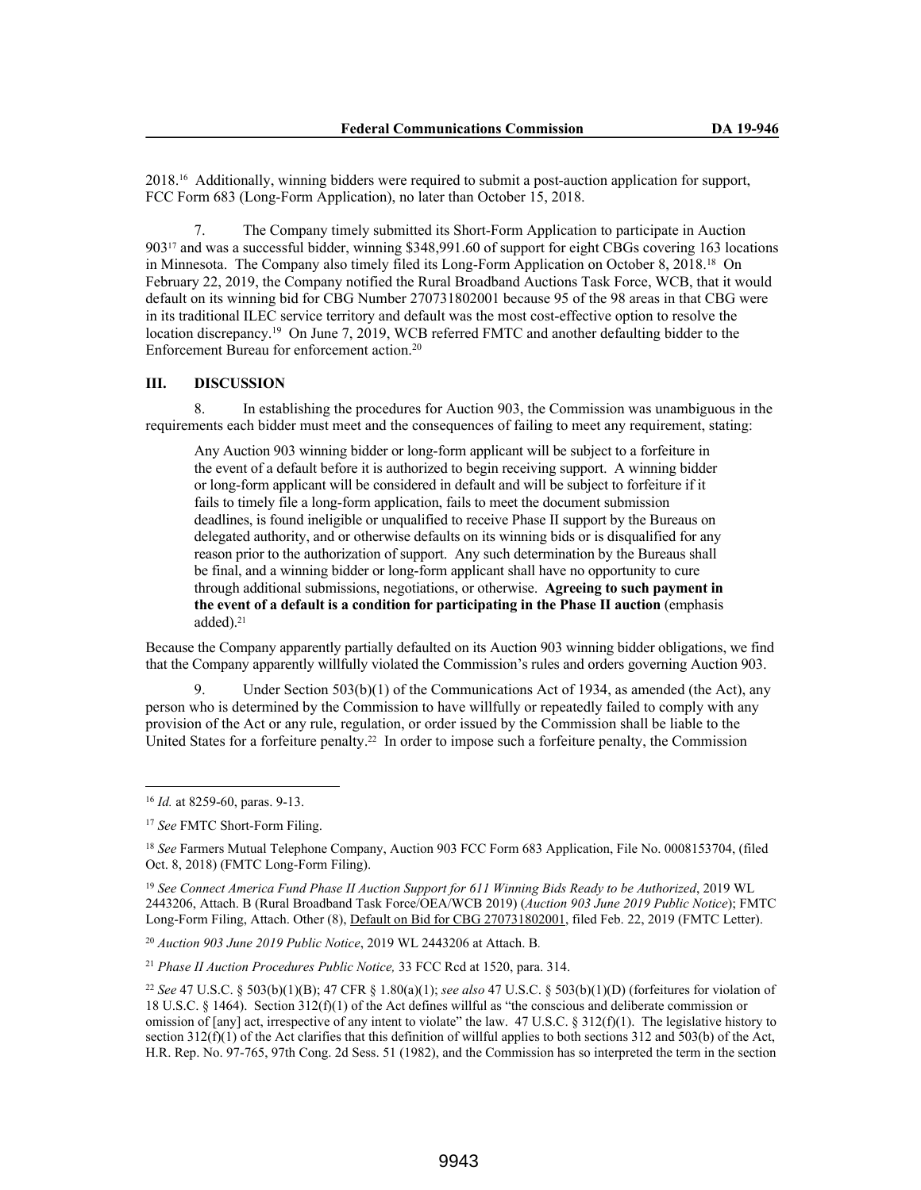2018.16 Additionally, winning bidders were required to submit a post-auction application for support, FCC Form 683 (Long-Form Application), no later than October 15, 2018.

7. The Company timely submitted its Short-Form Application to participate in Auction 90317 and was a successful bidder, winning \$348,991.60 of support for eight CBGs covering 163 locations in Minnesota. The Company also timely filed its Long-Form Application on October 8, 2018.<sup>18</sup> On February 22, 2019, the Company notified the Rural Broadband Auctions Task Force, WCB, that it would default on its winning bid for CBG Number 270731802001 because 95 of the 98 areas in that CBG were in its traditional ILEC service territory and default was the most cost-effective option to resolve the location discrepancy.<sup>19</sup> On June 7, 2019, WCB referred FMTC and another defaulting bidder to the Enforcement Bureau for enforcement action.<sup>20</sup>

#### **III. DISCUSSION**

8. In establishing the procedures for Auction 903, the Commission was unambiguous in the requirements each bidder must meet and the consequences of failing to meet any requirement, stating:

Any Auction 903 winning bidder or long-form applicant will be subject to a forfeiture in the event of a default before it is authorized to begin receiving support. A winning bidder or long-form applicant will be considered in default and will be subject to forfeiture if it fails to timely file a long-form application, fails to meet the document submission deadlines, is found ineligible or unqualified to receive Phase II support by the Bureaus on delegated authority, and or otherwise defaults on its winning bids or is disqualified for any reason prior to the authorization of support. Any such determination by the Bureaus shall be final, and a winning bidder or long-form applicant shall have no opportunity to cure through additional submissions, negotiations, or otherwise. **Agreeing to such payment in the event of a default is a condition for participating in the Phase II auction** (emphasis added).<sup>21</sup>

Because the Company apparently partially defaulted on its Auction 903 winning bidder obligations, we find that the Company apparently willfully violated the Commission's rules and orders governing Auction 903.

Under Section  $503(b)(1)$  of the Communications Act of 1934, as amended (the Act), any person who is determined by the Commission to have willfully or repeatedly failed to comply with any provision of the Act or any rule, regulation, or order issued by the Commission shall be liable to the United States for a forfeiture penalty.<sup>22</sup> In order to impose such a forfeiture penalty, the Commission

<sup>19</sup> *See Connect America Fund Phase II Auction Support for 611 Winning Bids Ready to be Authorized*, 2019 WL 2443206, Attach. B (Rural Broadband Task Force/OEA/WCB 2019) (*Auction 903 June 2019 Public Notice*); FMTC Long-Form Filing, Attach. Other (8), Default on Bid for CBG 270731802001, filed Feb. 22, 2019 (FMTC Letter).

<sup>20</sup> *Auction 903 June 2019 Public Notice*, 2019 WL 2443206 at Attach. B*.*

<sup>21</sup> *Phase II Auction Procedures Public Notice,* 33 FCC Rcd at 1520, para. 314.

<sup>16</sup> *Id.* at 8259-60, paras. 9-13.

<sup>17</sup> *See* FMTC Short-Form Filing.

<sup>18</sup> *See* Farmers Mutual Telephone Company, Auction 903 FCC Form 683 Application, File No. 0008153704, (filed Oct. 8, 2018) (FMTC Long-Form Filing).

<sup>22</sup> *See* 47 U.S.C. § 503(b)(1)(B); 47 CFR § 1.80(a)(1); *see also* 47 U.S.C. § 503(b)(1)(D) (forfeitures for violation of 18 U.S.C. § 1464). Section 312(f)(1) of the Act defines willful as "the conscious and deliberate commission or omission of [any] act, irrespective of any intent to violate" the law.  $47 \text{ U.S.C.}$  §  $312(f)(1)$ . The legislative history to section  $312(f)(1)$  of the Act clarifies that this definition of willful applies to both sections  $312$  and  $503(b)$  of the Act, H.R. Rep. No. 97-765, 97th Cong. 2d Sess. 51 (1982), and the Commission has so interpreted the term in the section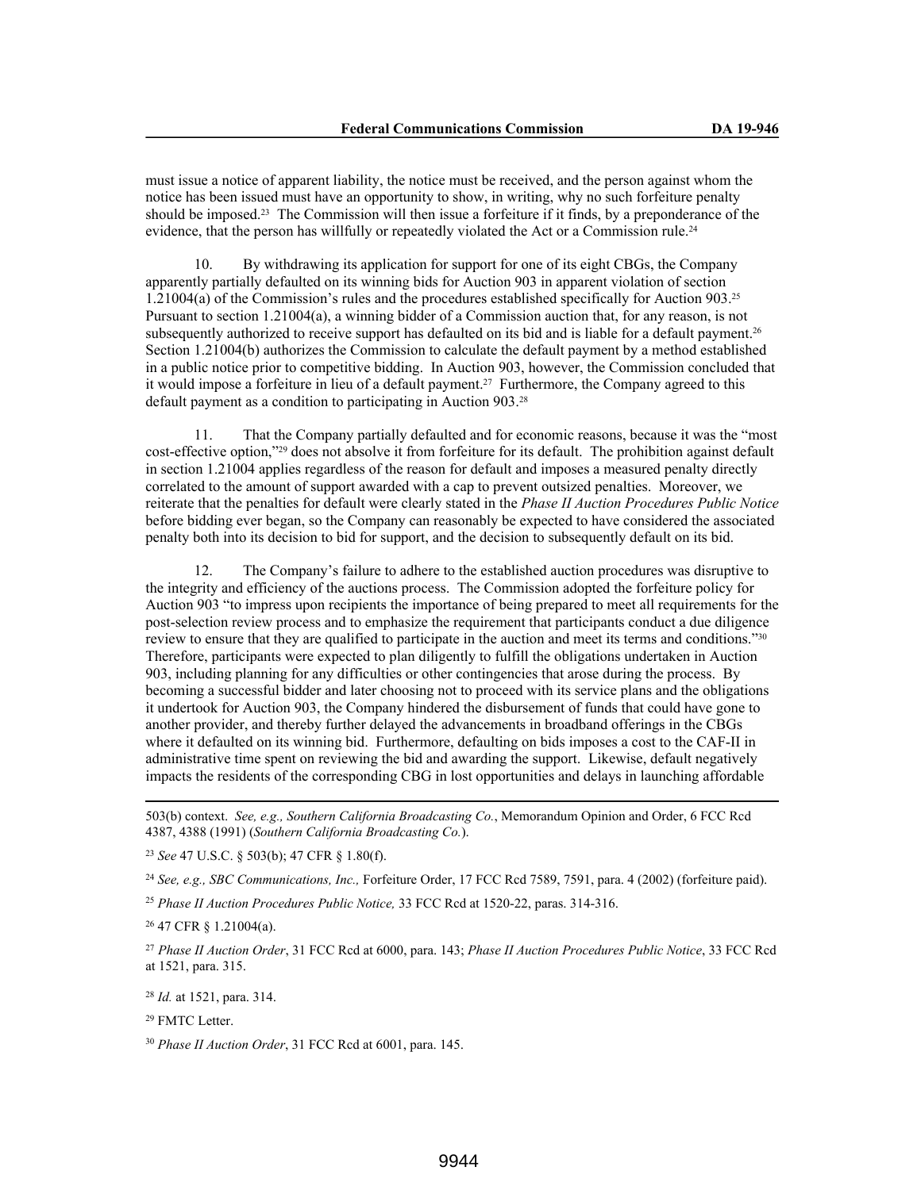must issue a notice of apparent liability, the notice must be received, and the person against whom the notice has been issued must have an opportunity to show, in writing, why no such forfeiture penalty should be imposed.23 The Commission will then issue a forfeiture if it finds, by a preponderance of the evidence, that the person has willfully or repeatedly violated the Act or a Commission rule.<sup>24</sup>

10. By withdrawing its application for support for one of its eight CBGs, the Company apparently partially defaulted on its winning bids for Auction 903 in apparent violation of section 1.21004(a) of the Commission's rules and the procedures established specifically for Auction 903.<sup>25</sup> Pursuant to section 1.21004(a), a winning bidder of a Commission auction that, for any reason, is not subsequently authorized to receive support has defaulted on its bid and is liable for a default payment.<sup>26</sup> Section 1.21004(b) authorizes the Commission to calculate the default payment by a method established in a public notice prior to competitive bidding. In Auction 903, however, the Commission concluded that it would impose a forfeiture in lieu of a default payment.27 Furthermore, the Company agreed to this default payment as a condition to participating in Auction 903.<sup>28</sup>

11. That the Company partially defaulted and for economic reasons, because it was the "most cost-effective option,"29 does not absolve it from forfeiture for its default. The prohibition against default in section 1.21004 applies regardless of the reason for default and imposes a measured penalty directly correlated to the amount of support awarded with a cap to prevent outsized penalties. Moreover, we reiterate that the penalties for default were clearly stated in the *Phase II Auction Procedures Public Notice* before bidding ever began, so the Company can reasonably be expected to have considered the associated penalty both into its decision to bid for support, and the decision to subsequently default on its bid.

12. The Company's failure to adhere to the established auction procedures was disruptive to the integrity and efficiency of the auctions process. The Commission adopted the forfeiture policy for Auction 903 "to impress upon recipients the importance of being prepared to meet all requirements for the post-selection review process and to emphasize the requirement that participants conduct a due diligence review to ensure that they are qualified to participate in the auction and meet its terms and conditions."<sup>30</sup> Therefore, participants were expected to plan diligently to fulfill the obligations undertaken in Auction 903, including planning for any difficulties or other contingencies that arose during the process. By becoming a successful bidder and later choosing not to proceed with its service plans and the obligations it undertook for Auction 903, the Company hindered the disbursement of funds that could have gone to another provider, and thereby further delayed the advancements in broadband offerings in the CBGs where it defaulted on its winning bid. Furthermore, defaulting on bids imposes a cost to the CAF-II in administrative time spent on reviewing the bid and awarding the support. Likewise, default negatively impacts the residents of the corresponding CBG in lost opportunities and delays in launching affordable

<sup>23</sup> *See* 47 U.S.C. § 503(b); 47 CFR § 1.80(f).

<sup>24</sup> *See, e.g., SBC Communications, Inc.,* Forfeiture Order, 17 FCC Rcd 7589, 7591, para. 4 (2002) (forfeiture paid).

<sup>25</sup> *Phase II Auction Procedures Public Notice,* 33 FCC Rcd at 1520-22, paras. 314-316.

<sup>26</sup> 47 CFR § 1.21004(a).

<sup>27</sup> *Phase II Auction Order*, 31 FCC Rcd at 6000, para. 143; *Phase II Auction Procedures Public Notice*, 33 FCC Rcd at 1521, para. 315.

<sup>28</sup> *Id.* at 1521, para. 314.

<sup>29</sup> FMTC Letter

<sup>30</sup> *Phase II Auction Order*, 31 FCC Rcd at 6001, para. 145.

<sup>503(</sup>b) context. *See, e.g., Southern California Broadcasting Co.*, Memorandum Opinion and Order, 6 FCC Rcd 4387, 4388 (1991) (*Southern California Broadcasting Co.*).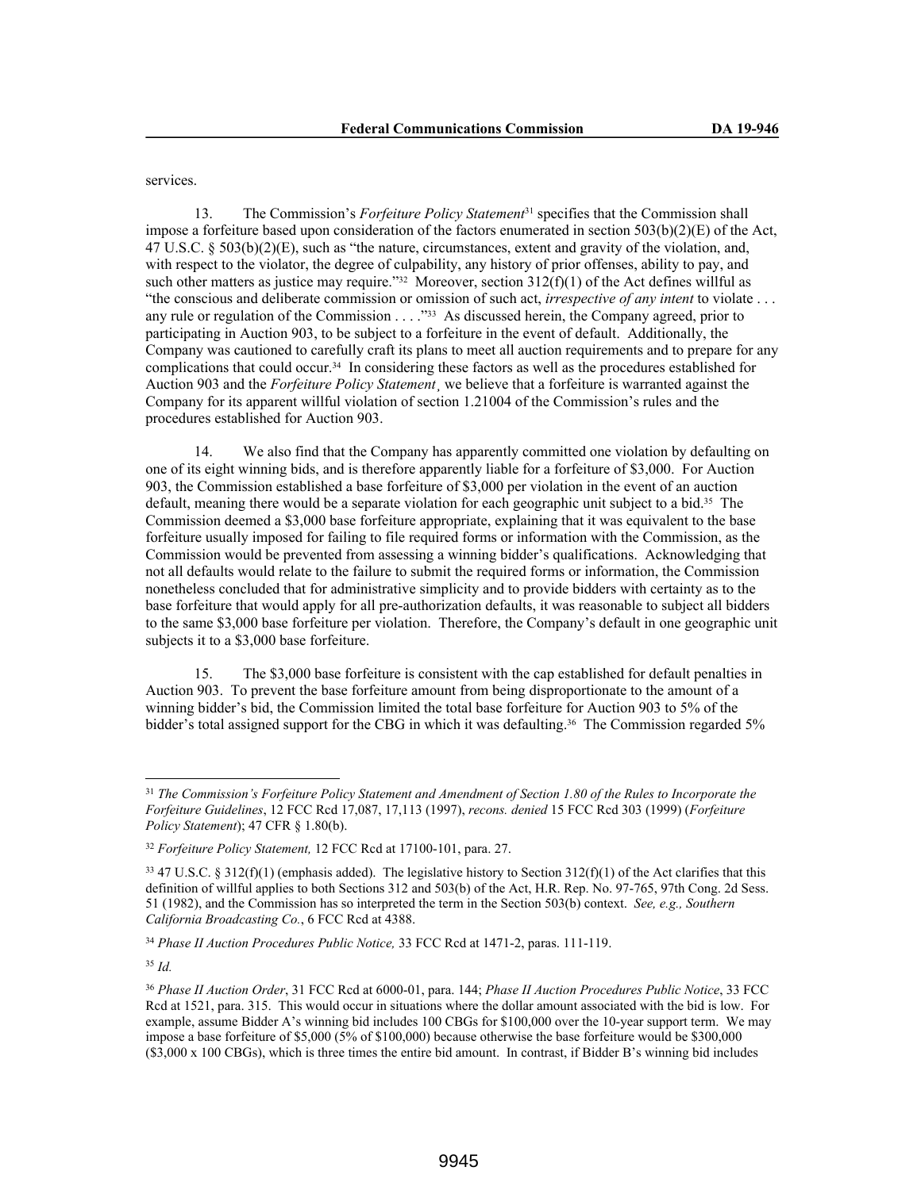services.

13. The Commission's *Forfeiture Policy Statement*31 specifies that the Commission shall impose a forfeiture based upon consideration of the factors enumerated in section  $503(b)(2)(E)$  of the Act, 47 U.S.C. § 503(b)(2)(E), such as "the nature, circumstances, extent and gravity of the violation, and, with respect to the violator, the degree of culpability, any history of prior offenses, ability to pay, and such other matters as justice may require."<sup>32</sup> Moreover, section 312(f)(1) of the Act defines willful as "the conscious and deliberate commission or omission of such act, *irrespective of any intent* to violate . . . any rule or regulation of the Commission . . . ."33 As discussed herein, the Company agreed, prior to participating in Auction 903, to be subject to a forfeiture in the event of default. Additionally, the Company was cautioned to carefully craft its plans to meet all auction requirements and to prepare for any complications that could occur.34 In considering these factors as well as the procedures established for Auction 903 and the *Forfeiture Policy Statement*¸ we believe that a forfeiture is warranted against the Company for its apparent willful violation of section 1.21004 of the Commission's rules and the procedures established for Auction 903.

14. We also find that the Company has apparently committed one violation by defaulting on one of its eight winning bids, and is therefore apparently liable for a forfeiture of \$3,000. For Auction 903, the Commission established a base forfeiture of \$3,000 per violation in the event of an auction default, meaning there would be a separate violation for each geographic unit subject to a bid.<sup>35</sup> The Commission deemed a \$3,000 base forfeiture appropriate, explaining that it was equivalent to the base forfeiture usually imposed for failing to file required forms or information with the Commission, as the Commission would be prevented from assessing a winning bidder's qualifications. Acknowledging that not all defaults would relate to the failure to submit the required forms or information, the Commission nonetheless concluded that for administrative simplicity and to provide bidders with certainty as to the base forfeiture that would apply for all pre-authorization defaults, it was reasonable to subject all bidders to the same \$3,000 base forfeiture per violation. Therefore, the Company's default in one geographic unit subjects it to a \$3,000 base forfeiture.

15. The \$3,000 base forfeiture is consistent with the cap established for default penalties in Auction 903. To prevent the base forfeiture amount from being disproportionate to the amount of a winning bidder's bid, the Commission limited the total base forfeiture for Auction 903 to 5% of the bidder's total assigned support for the CBG in which it was defaulting.<sup>36</sup> The Commission regarded 5%

<sup>34</sup> *Phase II Auction Procedures Public Notice,* 33 FCC Rcd at 1471-2, paras. 111-119.

<sup>35</sup> *Id.*

<sup>31</sup> *The Commission's Forfeiture Policy Statement and Amendment of Section 1.80 of the Rules to Incorporate the Forfeiture Guidelines*, 12 FCC Rcd 17,087, 17,113 (1997), *recons. denied* 15 FCC Rcd 303 (1999) (*Forfeiture Policy Statement*); 47 CFR § 1.80(b).

<sup>32</sup> *Forfeiture Policy Statement,* 12 FCC Rcd at 17100-101, para. 27.

 $33\overline{47}$  U.S.C. § 312(f)(1) (emphasis added). The legislative history to Section 312(f)(1) of the Act clarifies that this definition of willful applies to both Sections 312 and 503(b) of the Act, H.R. Rep. No. 97-765, 97th Cong. 2d Sess. 51 (1982), and the Commission has so interpreted the term in the Section 503(b) context. *See, e.g., Southern California Broadcasting Co.*, 6 FCC Rcd at 4388.

<sup>36</sup> *Phase II Auction Order*, 31 FCC Rcd at 6000-01, para. 144; *Phase II Auction Procedures Public Notice*, 33 FCC Rcd at 1521, para. 315. This would occur in situations where the dollar amount associated with the bid is low. For example, assume Bidder A's winning bid includes 100 CBGs for \$100,000 over the 10-year support term. We may impose a base forfeiture of \$5,000 (5% of \$100,000) because otherwise the base forfeiture would be \$300,000 (\$3,000 x 100 CBGs), which is three times the entire bid amount. In contrast, if Bidder B's winning bid includes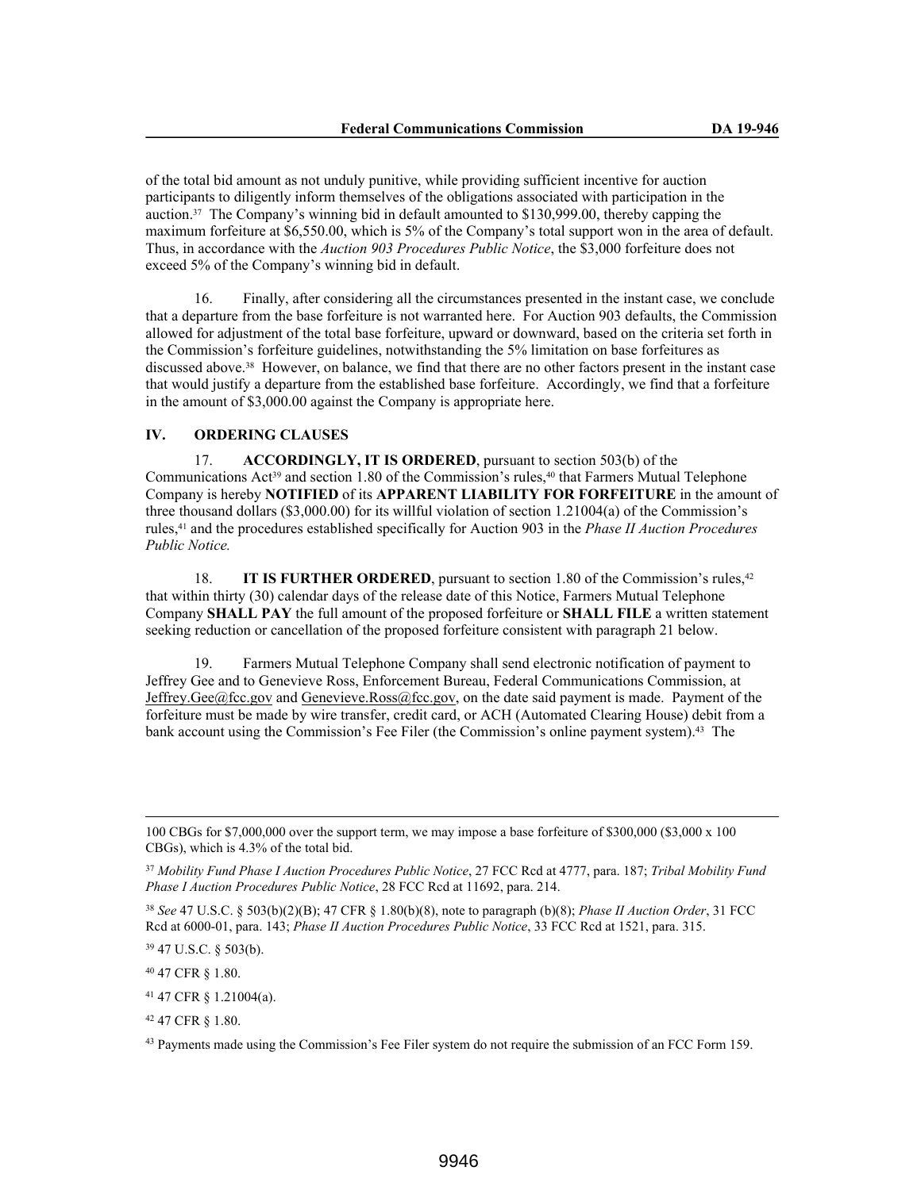of the total bid amount as not unduly punitive, while providing sufficient incentive for auction participants to diligently inform themselves of the obligations associated with participation in the auction.37 The Company's winning bid in default amounted to \$130,999.00, thereby capping the maximum forfeiture at \$6,550.00, which is 5% of the Company's total support won in the area of default. Thus, in accordance with the *Auction 903 Procedures Public Notice*, the \$3,000 forfeiture does not exceed 5% of the Company's winning bid in default.

16. Finally, after considering all the circumstances presented in the instant case, we conclude that a departure from the base forfeiture is not warranted here. For Auction 903 defaults, the Commission allowed for adjustment of the total base forfeiture, upward or downward, based on the criteria set forth in the Commission's forfeiture guidelines, notwithstanding the 5% limitation on base forfeitures as discussed above.38 However, on balance, we find that there are no other factors present in the instant case that would justify a departure from the established base forfeiture. Accordingly, we find that a forfeiture in the amount of \$3,000.00 against the Company is appropriate here.

### **IV. ORDERING CLAUSES**

17. **ACCORDINGLY, IT IS ORDERED**, pursuant to section 503(b) of the Communications Act<sup>39</sup> and section 1.80 of the Commission's rules, $40$  that Farmers Mutual Telephone Company is hereby **NOTIFIED** of its **APPARENT LIABILITY FOR FORFEITURE** in the amount of three thousand dollars (\$3,000.00) for its willful violation of section 1.21004(a) of the Commission's rules,41 and the procedures established specifically for Auction 903 in the *Phase II Auction Procedures Public Notice.*

18. **IT IS FURTHER ORDERED**, pursuant to section 1.80 of the Commission's rules,<sup>42</sup> that within thirty (30) calendar days of the release date of this Notice, Farmers Mutual Telephone Company **SHALL PAY** the full amount of the proposed forfeiture or **SHALL FILE** a written statement seeking reduction or cancellation of the proposed forfeiture consistent with paragraph 21 below.

Farmers Mutual Telephone Company shall send electronic notification of payment to Jeffrey Gee and to Genevieve Ross, Enforcement Bureau, Federal Communications Commission, at Jeffrey.Gee@fcc.gov and Genevieve.Ross@fcc.gov, on the date said payment is made. Payment of the forfeiture must be made by wire transfer, credit card, or ACH (Automated Clearing House) debit from a bank account using the Commission's Fee Filer (the Commission's online payment system).<sup>43</sup> The

<sup>100</sup> CBGs for \$7,000,000 over the support term, we may impose a base forfeiture of \$300,000 (\$3,000 x 100 CBGs), which is 4.3% of the total bid.

<sup>37</sup> *Mobility Fund Phase I Auction Procedures Public Notice*, 27 FCC Rcd at 4777, para. 187; *Tribal Mobility Fund Phase I Auction Procedures Public Notice*, 28 FCC Rcd at 11692, para. 214.

<sup>38</sup> *See* 47 U.S.C. § 503(b)(2)(B); 47 CFR § 1.80(b)(8), note to paragraph (b)(8); *Phase II Auction Order*, 31 FCC Rcd at 6000-01, para. 143; *Phase II Auction Procedures Public Notice*, 33 FCC Rcd at 1521, para. 315.

<sup>39</sup> 47 U.S.C. § 503(b).

<sup>40</sup> 47 CFR § 1.80.

<sup>41</sup> 47 CFR § 1.21004(a).

<sup>42</sup> 47 CFR § 1.80.

<sup>&</sup>lt;sup>43</sup> Payments made using the Commission's Fee Filer system do not require the submission of an FCC Form 159.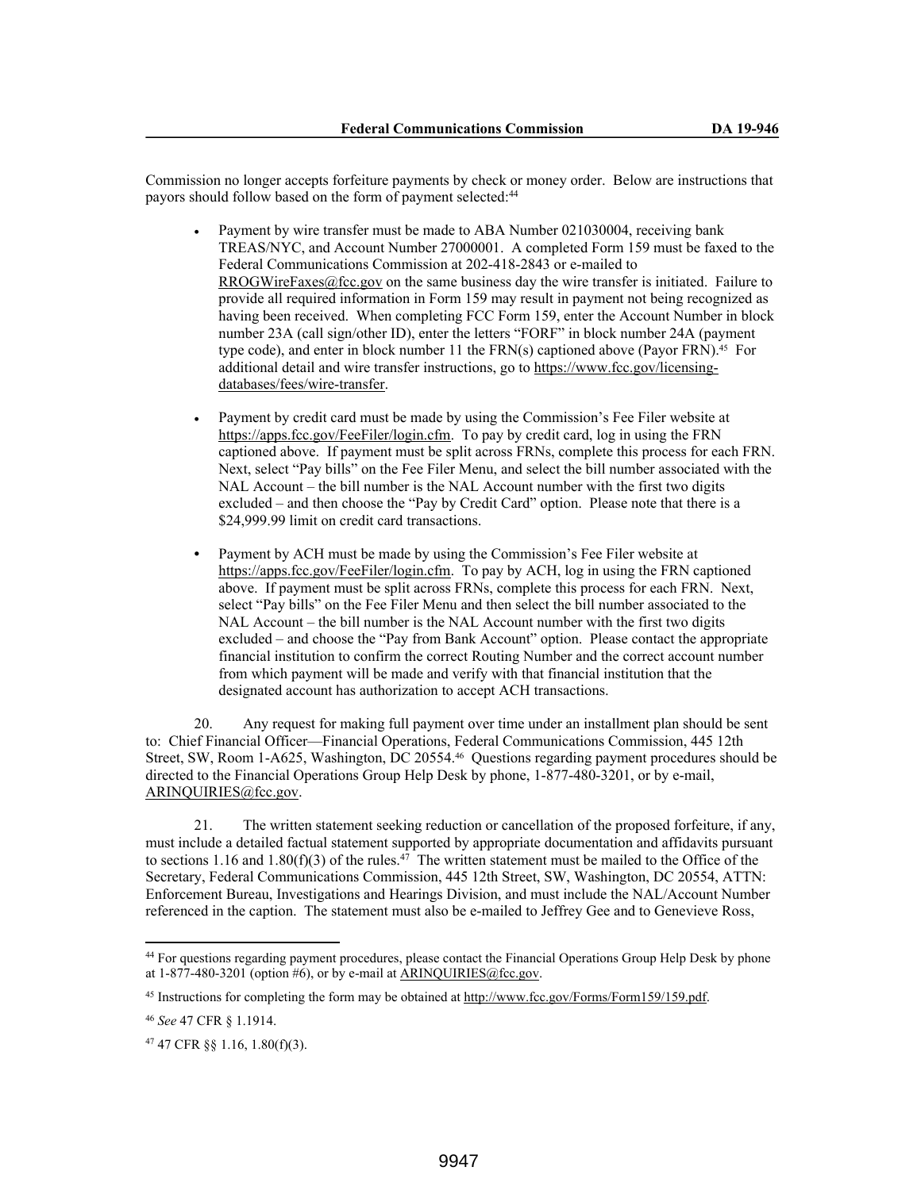Commission no longer accepts forfeiture payments by check or money order. Below are instructions that payors should follow based on the form of payment selected:<sup>44</sup>

- Payment by wire transfer must be made to ABA Number 021030004, receiving bank TREAS/NYC, and Account Number 27000001. A completed Form 159 must be faxed to the Federal Communications Commission at 202-418-2843 or e-mailed to RROGWireFaxes@fcc.gov on the same business day the wire transfer is initiated. Failure to provide all required information in Form 159 may result in payment not being recognized as having been received. When completing FCC Form 159, enter the Account Number in block number 23A (call sign/other ID), enter the letters "FORF" in block number 24A (payment type code), and enter in block number 11 the FRN(s) captioned above (Payor FRN).<sup>45</sup> For additional detail and wire transfer instructions, go to https://www.fcc.gov/licensingdatabases/fees/wire-transfer.
- Payment by credit card must be made by using the Commission's Fee Filer website at https://apps.fcc.gov/FeeFiler/login.cfm. To pay by credit card, log in using the FRN captioned above. If payment must be split across FRNs, complete this process for each FRN. Next, select "Pay bills" on the Fee Filer Menu, and select the bill number associated with the NAL Account – the bill number is the NAL Account number with the first two digits excluded – and then choose the "Pay by Credit Card" option. Please note that there is a \$24,999.99 limit on credit card transactions.
- **•** Payment by ACH must be made by using the Commission's Fee Filer website at https://apps.fcc.gov/FeeFiler/login.cfm. To pay by ACH, log in using the FRN captioned above. If payment must be split across FRNs, complete this process for each FRN. Next, select "Pay bills" on the Fee Filer Menu and then select the bill number associated to the NAL Account – the bill number is the NAL Account number with the first two digits excluded – and choose the "Pay from Bank Account" option. Please contact the appropriate financial institution to confirm the correct Routing Number and the correct account number from which payment will be made and verify with that financial institution that the designated account has authorization to accept ACH transactions.

20. Any request for making full payment over time under an installment plan should be sent to: Chief Financial Officer—Financial Operations, Federal Communications Commission, 445 12th Street, SW, Room 1-A625, Washington, DC 20554.46 Questions regarding payment procedures should be directed to the Financial Operations Group Help Desk by phone, 1-877-480-3201, or by e-mail, ARINQUIRIES@fcc.gov.

21. The written statement seeking reduction or cancellation of the proposed forfeiture, if any, must include a detailed factual statement supported by appropriate documentation and affidavits pursuant to sections 1.16 and 1.80(f)(3) of the rules.<sup>47</sup> The written statement must be mailed to the Office of the Secretary, Federal Communications Commission, 445 12th Street, SW, Washington, DC 20554, ATTN: Enforcement Bureau, Investigations and Hearings Division, and must include the NAL/Account Number referenced in the caption. The statement must also be e-mailed to Jeffrey Gee and to Genevieve Ross,

<sup>44</sup> For questions regarding payment procedures, please contact the Financial Operations Group Help Desk by phone at  $1-877-480-3201$  (option #6), or by e-mail at ARINQUIRIES@fcc.gov.

<sup>45</sup> Instructions for completing the form may be obtained at http://www.fcc.gov/Forms/Form159/159.pdf.

<sup>46</sup> *See* 47 CFR § 1.1914.

<sup>47</sup> 47 CFR §§ 1.16, 1.80(f)(3).